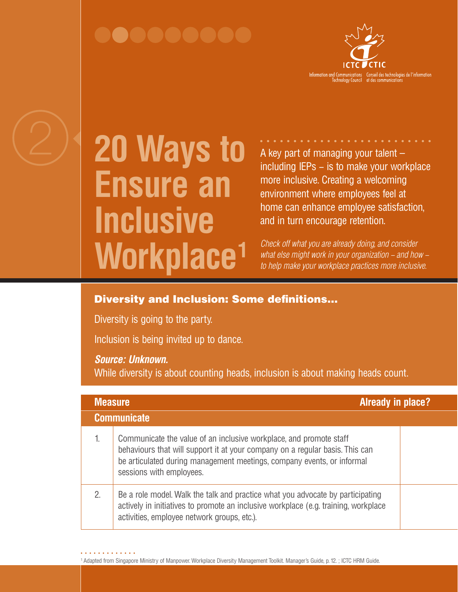## 000000006



# **20 Ways to Ensure an Inclusive Workplace1**

A key part of managing your talent – including IEPs − is to make your workplace more inclusive. Creating a welcoming environment where employees feel at home can enhance employee satisfaction, and in turn encourage retention.

*Check off what you are already doing, and consider what else might work in your organization − and how − to help make your workplace practices more inclusive.*

### Diversity and Inclusion: Some definitions…

Diversity is going to the party.

Inclusion is being invited up to dance.

#### *Source: Unknown.*

While diversity is about counting heads, inclusion is about making heads count.

| <b>Already in place?</b><br><b>Measure</b> |                                                                                                                                                                                                                                                          |  |  |  |
|--------------------------------------------|----------------------------------------------------------------------------------------------------------------------------------------------------------------------------------------------------------------------------------------------------------|--|--|--|
| <b>Communicate</b>                         |                                                                                                                                                                                                                                                          |  |  |  |
| 1.                                         | Communicate the value of an inclusive workplace, and promote staff<br>behaviours that will support it at your company on a regular basis. This can<br>be articulated during management meetings, company events, or informal<br>sessions with employees. |  |  |  |
| 2.                                         | Be a role model. Walk the talk and practice what you advocate by participating<br>actively in initiatives to promote an inclusive workplace (e.g. training, workplace<br>activities, employee network groups, etc.).                                     |  |  |  |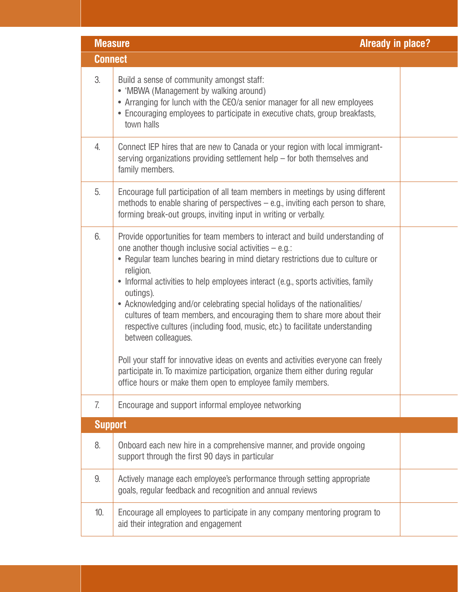| <b>Already in place?</b><br><b>Measure</b> |                                                                                                                                                                                                                                                                                                                                                                                                                                                                                                                                                                                                                                                                                                                                                                                                                                                 |  |  |  |
|--------------------------------------------|-------------------------------------------------------------------------------------------------------------------------------------------------------------------------------------------------------------------------------------------------------------------------------------------------------------------------------------------------------------------------------------------------------------------------------------------------------------------------------------------------------------------------------------------------------------------------------------------------------------------------------------------------------------------------------------------------------------------------------------------------------------------------------------------------------------------------------------------------|--|--|--|
| <b>Connect</b>                             |                                                                                                                                                                                                                                                                                                                                                                                                                                                                                                                                                                                                                                                                                                                                                                                                                                                 |  |  |  |
| 3.                                         | Build a sense of community amongst staff:<br>• 'MBWA (Management by walking around)<br>• Arranging for lunch with the CEO/a senior manager for all new employees<br>• Encouraging employees to participate in executive chats, group breakfasts,<br>town halls                                                                                                                                                                                                                                                                                                                                                                                                                                                                                                                                                                                  |  |  |  |
| 4.                                         | Connect IEP hires that are new to Canada or your region with local immigrant-<br>serving organizations providing settlement help $-$ for both themselves and<br>family members.                                                                                                                                                                                                                                                                                                                                                                                                                                                                                                                                                                                                                                                                 |  |  |  |
| 5.                                         | Encourage full participation of all team members in meetings by using different<br>methods to enable sharing of perspectives $-$ e.g., inviting each person to share,<br>forming break-out groups, inviting input in writing or verbally.                                                                                                                                                                                                                                                                                                                                                                                                                                                                                                                                                                                                       |  |  |  |
| 6.                                         | Provide opportunities for team members to interact and build understanding of<br>one another though inclusive social activities $-$ e.g.:<br>• Regular team lunches bearing in mind dietary restrictions due to culture or<br>religion.<br>• Informal activities to help employees interact (e.g., sports activities, family<br>outings).<br>• Acknowledging and/or celebrating special holidays of the nationalities/<br>cultures of team members, and encouraging them to share more about their<br>respective cultures (including food, music, etc.) to facilitate understanding<br>between colleagues.<br>Poll your staff for innovative ideas on events and activities everyone can freely<br>participate in. To maximize participation, organize them either during regular<br>office hours or make them open to employee family members. |  |  |  |
| 7.                                         | Encourage and support informal employee networking                                                                                                                                                                                                                                                                                                                                                                                                                                                                                                                                                                                                                                                                                                                                                                                              |  |  |  |
| <b>Support</b>                             |                                                                                                                                                                                                                                                                                                                                                                                                                                                                                                                                                                                                                                                                                                                                                                                                                                                 |  |  |  |
| 8.                                         | Onboard each new hire in a comprehensive manner, and provide ongoing<br>support through the first 90 days in particular                                                                                                                                                                                                                                                                                                                                                                                                                                                                                                                                                                                                                                                                                                                         |  |  |  |
| 9.                                         | Actively manage each employee's performance through setting appropriate<br>goals, regular feedback and recognition and annual reviews                                                                                                                                                                                                                                                                                                                                                                                                                                                                                                                                                                                                                                                                                                           |  |  |  |
| 10.                                        | Encourage all employees to participate in any company mentoring program to<br>aid their integration and engagement                                                                                                                                                                                                                                                                                                                                                                                                                                                                                                                                                                                                                                                                                                                              |  |  |  |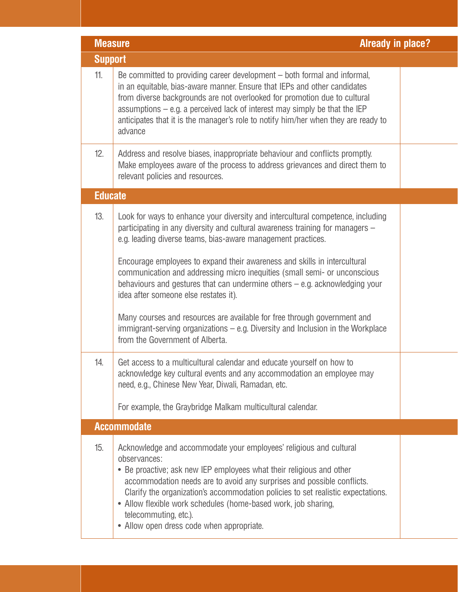|                | <b>Already in place?</b><br><b>Measure</b>                                                                                                                                                                                                                                                                                                                                                                                                                                                                                                                                                                                                                                                                                                                                                                                                                                                                                        |  |  |  |  |
|----------------|-----------------------------------------------------------------------------------------------------------------------------------------------------------------------------------------------------------------------------------------------------------------------------------------------------------------------------------------------------------------------------------------------------------------------------------------------------------------------------------------------------------------------------------------------------------------------------------------------------------------------------------------------------------------------------------------------------------------------------------------------------------------------------------------------------------------------------------------------------------------------------------------------------------------------------------|--|--|--|--|
| <b>Support</b> |                                                                                                                                                                                                                                                                                                                                                                                                                                                                                                                                                                                                                                                                                                                                                                                                                                                                                                                                   |  |  |  |  |
| 11.            | Be committed to providing career development – both formal and informal,<br>in an equitable, bias-aware manner. Ensure that IEPs and other candidates<br>from diverse backgrounds are not overlooked for promotion due to cultural<br>assumptions $-$ e.g. a perceived lack of interest may simply be that the IEP<br>anticipates that it is the manager's role to notify him/her when they are ready to<br>advance                                                                                                                                                                                                                                                                                                                                                                                                                                                                                                               |  |  |  |  |
| 12.            | Address and resolve biases, inappropriate behaviour and conflicts promptly.<br>Make employees aware of the process to address grievances and direct them to<br>relevant policies and resources.                                                                                                                                                                                                                                                                                                                                                                                                                                                                                                                                                                                                                                                                                                                                   |  |  |  |  |
| <b>Educate</b> |                                                                                                                                                                                                                                                                                                                                                                                                                                                                                                                                                                                                                                                                                                                                                                                                                                                                                                                                   |  |  |  |  |
| 13.<br>14.     | Look for ways to enhance your diversity and intercultural competence, including<br>participating in any diversity and cultural awareness training for managers -<br>e.g. leading diverse teams, bias-aware management practices.<br>Encourage employees to expand their awareness and skills in intercultural<br>communication and addressing micro inequities (small semi- or unconscious<br>behaviours and gestures that can undermine others $-$ e.g. acknowledging your<br>idea after someone else restates it).<br>Many courses and resources are available for free through government and<br>immigrant-serving organizations $-$ e.g. Diversity and Inclusion in the Workplace<br>from the Government of Alberta.<br>Get access to a multicultural calendar and educate yourself on how to<br>acknowledge key cultural events and any accommodation an employee may<br>need, e.g., Chinese New Year, Diwali, Ramadan, etc. |  |  |  |  |
|                | For example, the Graybridge Malkam multicultural calendar.                                                                                                                                                                                                                                                                                                                                                                                                                                                                                                                                                                                                                                                                                                                                                                                                                                                                        |  |  |  |  |
|                | <b>Accommodate</b>                                                                                                                                                                                                                                                                                                                                                                                                                                                                                                                                                                                                                                                                                                                                                                                                                                                                                                                |  |  |  |  |
|                |                                                                                                                                                                                                                                                                                                                                                                                                                                                                                                                                                                                                                                                                                                                                                                                                                                                                                                                                   |  |  |  |  |
| 15.            | Acknowledge and accommodate your employees' religious and cultural<br>observances:<br>• Be proactive; ask new IEP employees what their religious and other<br>accommodation needs are to avoid any surprises and possible conflicts.<br>Clarify the organization's accommodation policies to set realistic expectations.<br>• Allow flexible work schedules (home-based work, job sharing,<br>telecommuting, etc.).<br>• Allow open dress code when appropriate.                                                                                                                                                                                                                                                                                                                                                                                                                                                                  |  |  |  |  |